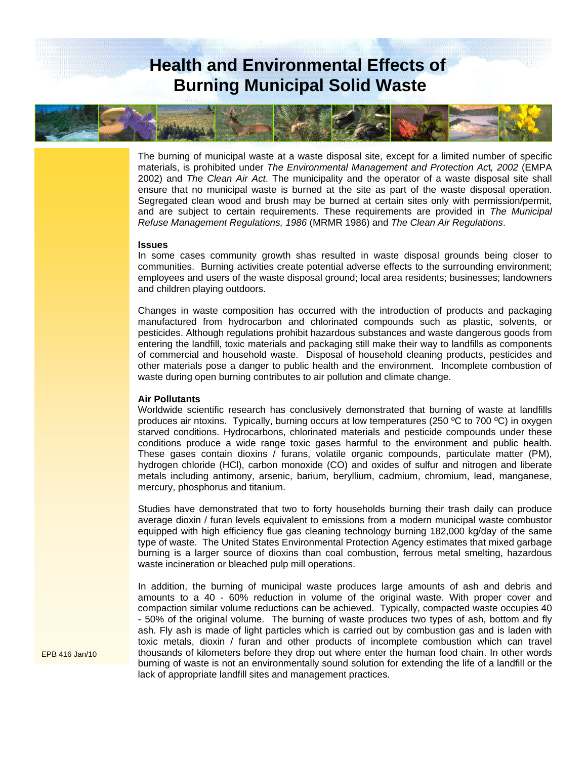## **Health and Environmental Effects of Burning Municipal Solid Waste**



The burning of municipal waste at a waste disposal site, except for a limited number of specific materials, is prohibited under *The Environmental Management and Protection Ac*t*, 2002* (EMPA 2002) and *The Clean Air Act*. The municipality and the operator of a waste disposal site shall ensure that no municipal waste is burned at the site as part of the waste disposal operation. Segregated clean wood and brush may be burned at certain sites only with permission/permit, and are subject to certain requirements. These requirements are provided in *The Municipal Refuse Management Regulations, 1986* (MRMR 1986) and *The Clean Air Regulations*.

## **Issues**

In some cases community growth shas resulted in waste disposal grounds being closer to communities. Burning activities create potential adverse effects to the surrounding environment; employees and users of the waste disposal ground; local area residents; businesses; landowners and children playing outdoors.

Changes in waste composition has occurred with the introduction of products and packaging manufactured from hydrocarbon and chlorinated compounds such as plastic, solvents, or pesticides. Although regulations prohibit hazardous substances and waste dangerous goods from entering the landfill, toxic materials and packaging still make their way to landfills as components of commercial and household waste. Disposal of household cleaning products, pesticides and other materials pose a danger to public health and the environment. Incomplete combustion of waste during open burning contributes to air pollution and climate change.

## **Air Pollutants**

Worldwide scientific research has conclusively demonstrated that burning of waste at landfills produces air ntoxins. Typically, burning occurs at low temperatures (250 ºC to 700 ºC) in oxygen starved conditions. Hydrocarbons, chlorinated materials and pesticide compounds under these conditions produce a wide range toxic gases harmful to the environment and public health. These gases contain dioxins / furans, volatile organic compounds, particulate matter (PM), hydrogen chloride (HCl), carbon monoxide (CO) and oxides of sulfur and nitrogen and liberate metals including antimony, arsenic, barium, beryllium, cadmium, chromium, lead, manganese, mercury, phosphorus and titanium.

Studies have demonstrated that two to forty households burning their trash daily can produce average dioxin / furan levels equivalent to emissions from a modern municipal waste combustor equipped with high efficiency flue gas cleaning technology burning 182,000 kg/day of the same type of waste. The United States Environmental Protection Agency estimates that mixed garbage burning is a larger source of dioxins than coal combustion, ferrous metal smelting, hazardous waste incineration or bleached pulp mill operations.

In addition, the burning of municipal waste produces large amounts of ash and debris and amounts to a 40 - 60% reduction in volume of the original waste. With proper cover and compaction similar volume reductions can be achieved. Typically, compacted waste occupies 40 - 50% of the original volume. The burning of waste produces two types of ash, bottom and fly ash. Fly ash is made of light particles which is carried out by combustion gas and is laden with toxic metals, dioxin / furan and other products of incomplete combustion which can travel thousands of kilometers before they drop out where enter the human food chain. In other words burning of waste is not an environmentally sound solution for extending the life of a landfill or the lack of appropriate landfill sites and management practices.

EPB 416 Jan/10